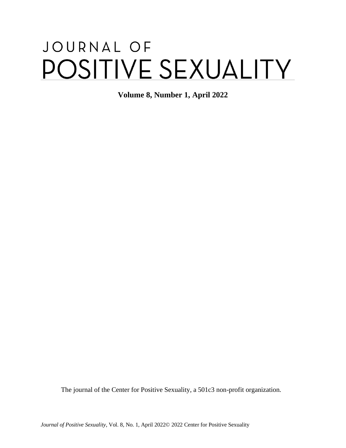# JOURNAL OF POSITIVE SEXUALITY

**Volume 8, Number 1, April 2022**

The journal of the Center for Positive Sexuality, a 501c3 non-profit organization.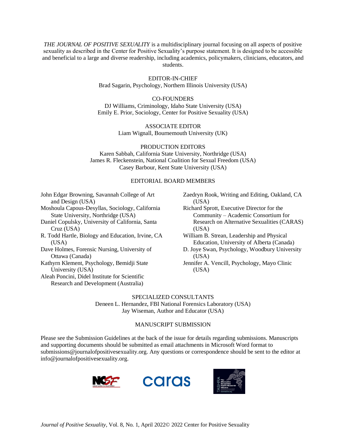*THE JOURNAL OF POSITIVE SEXUALITY* is a multidisciplinary journal focusing on all aspects of positive sexuality as described in the Center for Positive Sexuality's purpose statement. It is designed to be accessible and beneficial to a large and diverse readership, including academics, policymakers, clinicians, educators, and students.

> EDITOR-IN-CHIEF Brad Sagarin, Psychology, Northern Illinois University (USA)

CO-FOUNDERS DJ Williams, Criminology, Idaho State University (USA) Emily E. Prior, Sociology, Center for Positive Sexuality (USA)

> ASSOCIATE EDITOR Liam Wignall, Bournemouth University (UK)

PRODUCTION EDITORS Karen Sabbah, California State University, Northridge (USA) James R. Fleckenstein, National Coalition for Sexual Freedom (USA) Casey Barbour, Kent State University (USA)

#### EDITORIAL BOARD MEMBERS

John Edgar Browning, Savannah College of Art and Design (USA)

Moshoula Capous-Desyllas, Sociology, California State University, Northridge (USA)

Daniel Copulsky, University of California, Santa Cruz (USA)

R. Todd Hartle, Biology and Education, Irvine, CA (USA)

Dave Holmes, Forensic Nursing, University of Ottawa (Canada)

Kathyrn Klement, Psychology, Bemidji State University (USA)

Aleah Poncini, Didel Institute for Scientific Research and Development (Australia)

- Zaedryn Rook, Writing and Editing, Oakland, CA (USA)
- Richard Sprott, Executive Director for the Community – Academic Consortium for Research on Alternative Sexualities (CARAS) (USA)

William B. Strean, Leadership and Physical Education, University of Alberta (Canada)

- D. Joye Swan, Psychology, Woodbury University (USA)
- Jennifer A. Vencill, Psychology, Mayo Clinic (USA)

#### SPECIALIZED CONSULTANTS

Deneen L. Hernandez, FBI National Forensics Laboratory (USA) Jay Wiseman, Author and Educator (USA)

#### MANUSCRIPT SUBMISSION

Please see the Submission Guidelines at the back of the issue for details regarding submissions. Manuscripts and supporting documents should be submitted as email attachments in Microsoft Word format to submissions@journalofpositivesexuality.org. Any questions or correspondence should be sent to the editor at info@journalofpositivesexuality.org.





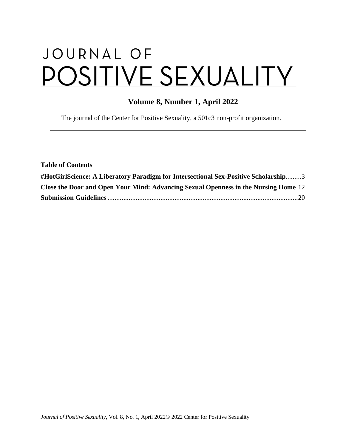# JOURNAL OF POSITIVE SEXUALITY

# **Volume 8, Number 1, April 2022**

The journal of the Center for Positive Sexuality, a 501c3 non-profit organization.

| <b>Table of Contents</b>                                                             |  |
|--------------------------------------------------------------------------------------|--|
| #HotGirlScience: A Liberatory Paradigm for Intersectional Sex-Positive Scholarship3  |  |
| Close the Door and Open Your Mind: Advancing Sexual Openness in the Nursing Home. 12 |  |
|                                                                                      |  |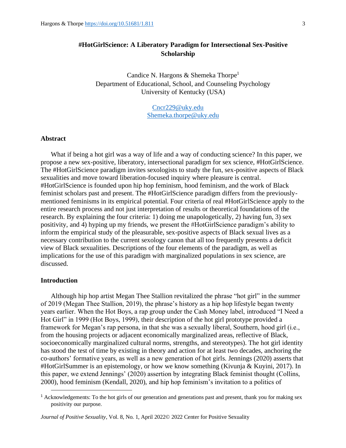# <span id="page-3-0"></span>**#HotGirlScience: A Liberatory Paradigm for Intersectional Sex-Positive Scholarship**

Candice N. Hargons & Shemeka Thorpe<sup>1</sup> Department of Educational, School, and Counseling Psychology University of Kentucky (USA)

> [Cncr229@uky.edu](mailto:Cncr229@uky.edu) [Shemeka.thorpe@uky.edu](mailto:Shemeka.thorpe@uky.edu)

#### **Abstract**

What if being a hot girl was a way of life and a way of conducting science? In this paper, we propose a new sex-positive, liberatory, intersectional paradigm for sex science, #HotGirlScience. The #HotGirlScience paradigm invites sexologists to study the fun, sex-positive aspects of Black sexualities and move toward liberation-focused inquiry where pleasure is central. #HotGirlScience is founded upon hip hop feminism, hood feminism, and the work of Black feminist scholars past and present. The #HotGirlScience paradigm differs from the previouslymentioned feminisms in its empirical potential. Four criteria of real #HotGirlScience apply to the entire research process and not just interpretation of results or theoretical foundations of the research. By explaining the four criteria: 1) doing me unapologetically, 2) having fun, 3) sex positivity, and 4) hyping up my friends, we present the #HotGirlScience paradigm's ability to inform the empirical study of the pleasurable, sex-positive aspects of Black sexual lives as a necessary contribution to the current sexology canon that all too frequently presents a deficit view of Black sexualities. Descriptions of the four elements of the paradigm, as well as implications for the use of this paradigm with marginalized populations in sex science, are discussed.

#### **Introduction**

Although hip hop artist Megan Thee Stallion revitalized the phrase "hot girl" in the summer of 2019 (Megan Thee Stallion, 2019), the phrase's history as a hip hop lifestyle began twenty years earlier. When the Hot Boys, a rap group under the Cash Money label, introduced "I Need a Hot Girl" in 1999 (Hot Boys, 1999), their description of the hot girl prototype provided a framework for Megan's rap persona, in that she was a sexually liberal, Southern, hood girl (i.e., from the housing projects or adjacent economically marginalized areas, reflective of Black, socioeconomically marginalized cultural norms, strengths, and stereotypes). The hot girl identity has stood the test of time by existing in theory and action for at least two decades, anchoring the co-authors' formative years, as well as a new generation of hot girls. Jennings (2020) asserts that #HotGirlSummer is an epistemology, or how we know something (Kivunja & Kuyini, 2017). In this paper, we extend Jennings' (2020) assertion by integrating Black feminist thought (Collins, 2000), hood feminism (Kendall, 2020), and hip hop feminism's invitation to a politics of

<sup>1</sup> Acknowledgements: To the hot girls of our generation and generations past and present, thank you for making sex positivity our purpose.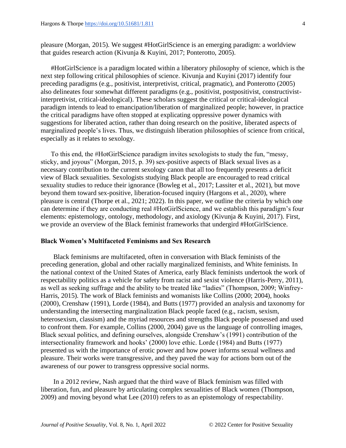pleasure (Morgan, 2015). We suggest #HotGirlScience is an emerging paradigm: a worldview that guides research action (Kivunja & Kuyini, 2017; Ponterotto, 2005).

#HotGirlScience is a paradigm located within a liberatory philosophy of science, which is the next step following critical philosophies of science. Kivunja and Kuyini (2017) identify four preceding paradigms (e.g., positivist, interpretivist, critical, pragmatic), and Ponterotto (2005) also delineates four somewhat different paradigms (e.g., positivist, postpositivist, constructivistinterpretivist, critical-ideological). These scholars suggest the critical or critical-ideological paradigm intends to lead to emancipation/liberation of marginalized people; however, in practice the critical paradigms have often stopped at explicating oppressive power dynamics with suggestions for liberated action, rather than doing research on the positive, liberated aspects of marginalized people's lives. Thus, we distinguish liberation philosophies of science from critical, especially as it relates to sexology.

To this end, the #HotGirlScience paradigm invites sexologists to study the fun, "messy, sticky, and joyous" (Morgan, 2015, p. 39) sex-positive aspects of Black sexual lives as a necessary contribution to the current sexology canon that all too frequently presents a deficit view of Black sexualities. Sexologists studying Black people are encouraged to read critical sexuality studies to reduce their ignorance (Bowleg et al., 2017; Lassiter et al., 2021), but move beyond them toward sex-positive, liberation-focused inquiry (Hargons et al., 2020), where pleasure is central (Thorpe et al., 2021; 2022). In this paper, we outline the criteria by which one can determine if they are conducting real #HotGirlScience, and we establish this paradigm's four elements: epistemology, ontology, methodology, and axiology (Kivunja & Kuyini, 2017). First, we provide an overview of the Black feminist frameworks that undergird #HotGirlScience.

# **Black Women's Multifaceted Feminisms and Sex Research**

Black feminisms are multifaceted, often in conversation with Black feminists of the preceding generation, global and other racially marginalized feminists, and White feminists. In the national context of the United States of America, early Black feminists undertook the work of respectability politics as a vehicle for safety from racist and sexist violence (Harris-Perry, 2011), as well as seeking suffrage and the ability to be treated like "ladies" (Thompson, 2009; Winfrey-Harris, 2015). The work of Black feminists and womanists like Collins (2000; 2004), hooks (2000), Crenshaw (1991), Lorde (1984), and Butts (1977) provided an analysis and taxonomy for understanding the intersecting marginalization Black people faced (e.g., racism, sexism, heterosexism, classism) and the myriad resources and strengths Black people possessed and used to confront them. For example, Collins (2000, 2004) gave us the language of controlling images, Black sexual politics, and defining ourselves, alongside Crenshaw's (1991) contribution of the intersectionality framework and hooks' (2000) love ethic. Lorde (1984) and Butts (1977) presented us with the importance of erotic power and how power informs sexual wellness and pleasure. Their works were transgressive, and they paved the way for actions born out of the awareness of our power to transgress oppressive social norms.

In a 2012 review, Nash argued that the third wave of Black feminism was filled with liberation, fun, and pleasure by articulating complex sexualities of Black women (Thompson, 2009) and moving beyond what Lee (2010) refers to as an epistemology of respectability.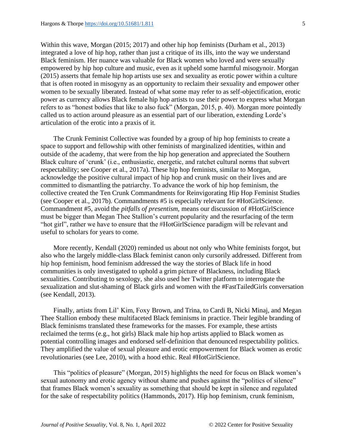Within this wave, Morgan (2015; 2017) and other hip hop feminists (Durham et al., 2013) integrated a love of hip hop, rather than just a critique of its ills, into the way we understand Black feminism. Her nuance was valuable for Black women who loved and were sexually empowered by hip hop culture and music, even as it upheld some harmful misogynoir. Morgan (2015) asserts that female hip hop artists use sex and sexuality as erotic power within a culture that is often rooted in misogyny as an opportunity to reclaim their sexuality and empower other women to be sexually liberated. Instead of what some may refer to as self-objectification, erotic power as currency allows Black female hip hop artists to use their power to express what Morgan refers to as "honest bodies that like to also fuck" (Morgan, 2015, p. 40). Morgan more pointedly called us to action around pleasure as an essential part of our liberation, extending Lorde's articulation of the erotic into a praxis of it.

The Crunk Feminist Collective was founded by a group of hip hop feminists to create a space to support and fellowship with other feminists of marginalized identities, within and outside of the academy, that were from the hip hop generation and appreciated the Southern Black culture of 'crunk' (i.e., enthusiastic, energetic, and ratchet cultural norms that subvert respectability; see Cooper et al., 2017a). These hip hop feminists, similar to Morgan, acknowledge the positive cultural impact of hip hop and crunk music on their lives and are committed to dismantling the patriarchy. To advance the work of hip hop feminism, the collective created the Ten Crunk Commandments for Reinvigorating Hip Hop Feminist Studies (see Cooper et al., 2017b). Commandments #5 is especially relevant for #HotGirlScience. Commandment #5, avoid the *pitfalls of presentism,* means our discussion of #HotGirlScience must be bigger than Megan Thee Stallion's current popularity and the resurfacing of the term "hot girl", rather we have to ensure that the #HotGirlScience paradigm will be relevant and useful to scholars for years to come.

More recently, Kendall (2020) reminded us about not only who White feminists forgot, but also who the largely middle-class Black feminist canon only cursorily addressed. Different from hip hop feminism, hood feminism addressed the way the stories of Black life in hood communities is only investigated to uphold a grim picture of Blackness, including Black sexualities. Contributing to sexology, she also used her Twitter platform to interrogate the sexualization and slut-shaming of Black girls and women with the #FastTailedGirls conversation (see Kendall, 2013).

Finally, artists from Lil' Kim, Foxy Brown, and Trina, to Cardi B, Nicki Minaj, and Megan Thee Stallion embody these multifaceted Black feminisms in practice. Their legible branding of Black feminisms translated these frameworks for the masses. For example, these artists reclaimed the terms (e.g., hot girls) Black male hip hop artists applied to Black women as potential controlling images and endorsed self-definition that denounced respectability politics. They amplified the value of sexual pleasure and erotic empowerment for Black women as erotic revolutionaries (see Lee, 2010), with a hood ethic. Real #HotGirlScience.

This "politics of pleasure" (Morgan, 2015) highlights the need for focus on Black women's sexual autonomy and erotic agency without shame and pushes against the "politics of silence" that frames Black women's sexuality as something that should be kept in silence and regulated for the sake of respectability politics (Hammonds, 2017). Hip hop feminism, crunk feminism,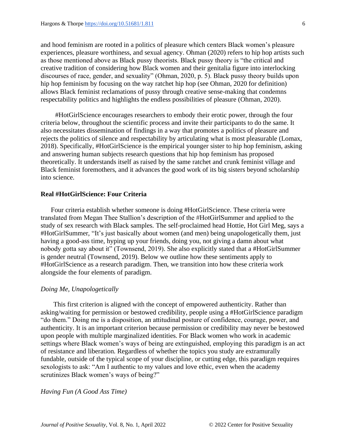and hood feminism are rooted in a politics of pleasure which centers Black women's pleasure experiences, pleasure worthiness, and sexual agency. Ohman (2020) refers to hip hop artists such as those mentioned above as Black pussy theorists. Black pussy theory is "the critical and creative tradition of considering how Black women and their genitalia figure into interlocking discourses of race, gender, and sexuality" (Ohman, 2020, p. 5). Black pussy theory builds upon hip hop feminism by focusing on the way ratchet hip hop (see Ohman, 2020 for definition) allows Black feminist reclamations of pussy through creative sense-making that condemns respectability politics and highlights the endless possibilities of pleasure (Ohman, 2020).

#HotGirlScience encourages researchers to embody their erotic power, through the four criteria below, throughout the scientific process and invite their participants to do the same. It also necessitates dissemination of findings in a way that promotes a politics of pleasure and rejects the politics of silence and respectability by articulating what is most pleasurable (Lomax, 2018). Specifically, #HotGirlScience is the empirical younger sister to hip hop feminism, asking and answering human subjects research questions that hip hop feminism has proposed theoretically. It understands itself as raised by the same ratchet and crunk feminist village and Black feminist foremothers, and it advances the good work of its big sisters beyond scholarship into science.

# **Real #HotGirlScience: Four Criteria**

Four criteria establish whether someone is doing #HotGirlScience. These criteria were translated from Megan Thee Stallion's description of the #HotGirlSummer and applied to the study of sex research with Black samples. The self-proclaimed head Hottie, Hot Girl Meg, says a #HotGirlSummer, "It's just basically about women (and men) being unapologetically them, just having a good-ass time, hyping up your friends, doing you, not giving a damn about what nobody gotta say about it" (Townsend, 2019). She also explicitly stated that a #HotGirlSummer is gender neutral (Townsend, 2019). Below we outline how these sentiments apply to #HotGirlScience as a research paradigm. Then, we transition into how these criteria work alongside the four elements of paradigm.

# *Doing Me, Unapologetically*

This first criterion is aligned with the concept of empowered authenticity. Rather than asking/waiting for permission or bestowed credibility, people using a #HotGirlScience paradigm "do them." Doing me is a disposition, an attitudinal posture of confidence, courage, power, and authenticity. It is an important criterion because permission or credibility may never be bestowed upon people with multiple marginalized identities. For Black women who work in academic settings where Black women's ways of being are extinguished, employing this paradigm is an act of resistance and liberation. Regardless of whether the topics you study are extramurally fundable, outside of the typical scope of your discipline, or cutting edge, this paradigm requires sexologists to ask: "Am I authentic to my values and love ethic, even when the academy scrutinizes Black women's ways of being?"

### *Having Fun (A Good Ass Time)*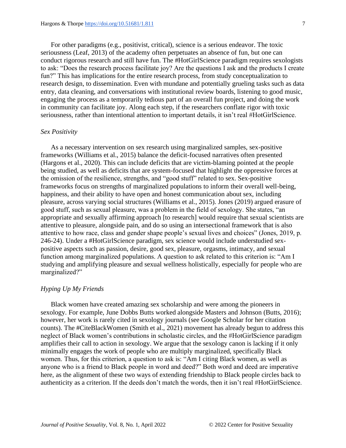For other paradigms (e.g., positivist, critical), science is a serious endeavor. The toxic seriousness (Leaf, 2013) of the academy often perpetuates an absence of fun, but one can conduct rigorous research and still have fun. The #HotGirlScience paradigm requires sexologists to ask: "Does the research process facilitate joy? Are the questions I ask and the products I create fun?" This has implications for the entire research process, from study conceptualization to research design, to dissemination. Even with mundane and potentially grueling tasks such as data entry, data cleaning, and conversations with institutional review boards, listening to good music, engaging the process as a temporarily tedious part of an overall fun project, and doing the work in community can facilitate joy. Along each step, if the researchers conflate rigor with toxic seriousness, rather than intentional attention to important details, it isn't real #HotGirlScience.

# *Sex Positivity*

As a necessary intervention on sex research using marginalized samples, sex-positive frameworks (Williams et al., 2015) balance the deficit-focused narratives often presented (Hargons et al., 2020). This can include deficits that are victim-blaming pointed at the people being studied, as well as deficits that are system-focused that highlight the oppressive forces at the omission of the resilience, strengths, and "good stuff" related to sex. Sex-positive frameworks focus on strengths of marginalized populations to inform their overall well-being, happiness, and their ability to have open and honest communication about sex, including pleasure, across varying social structures (Williams et al., 2015). Jones (2019) argued erasure of good stuff, such as sexual pleasure, was a problem in the field of sexology. She states, "an appropriate and sexually affirming approach [to research] would require that sexual scientists are attentive to pleasure, alongside pain, and do so using an intersectional framework that is also attentive to how race, class and gender shape people's sexual lives and choices" (Jones, 2019, p. 246-24). Under a #HotGirlScience paradigm, sex science would include understudied sexpositive aspects such as passion, desire, good sex, pleasure, orgasms, intimacy, and sexual function among marginalized populations. A question to ask related to this criterion is: "Am I studying and amplifying pleasure and sexual wellness holistically, especially for people who are marginalized?"

# *Hyping Up My Friends*

Black women have created amazing sex scholarship and were among the pioneers in sexology. For example, June Dobbs Butts worked alongside Masters and Johnson (Butts, 2016); however, her work is rarely cited in sexology journals (see Google Scholar for her citation counts). The #CiteBlackWomen (Smith et al., 2021) movement has already begun to address this neglect of Black women's contributions in scholastic circles, and the #HotGirlScience paradigm amplifies their call to action in sexology. We argue that the sexology canon is lacking if it only minimally engages the work of people who are multiply marginalized, specifically Black women. Thus, for this criterion, a question to ask is: "Am I citing Black women, as well as anyone who is a friend to Black people in word and deed?" Both word and deed are imperative here, as the alignment of these two ways of extending friendship to Black people circles back to authenticity as a criterion. If the deeds don't match the words, then it isn't real #HotGirlScience.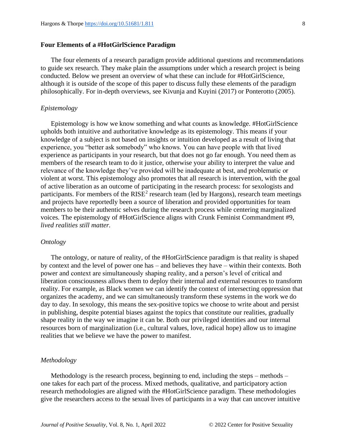#### **Four Elements of a #HotGirlScience Paradigm**

The four elements of a research paradigm provide additional questions and recommendations to guide sex research. They make plain the assumptions under which a research project is being conducted. Below we present an overview of what these can include for #HotGirlScience, although it is outside of the scope of this paper to discuss fully these elements of the paradigm philosophically. For in-depth overviews, see Kivunja and Kuyini (2017) or Ponterotto (2005).

#### *Epistemology*

Epistemology is how we know something and what counts as knowledge. #HotGirlScience upholds both intuitive and authoritative knowledge as its epistemology. This means if your knowledge of a subject is not based on insights or intuition developed as a result of living that experience, you "better ask somebody" who knows. You can have people with that lived experience as participants in your research, but that does not go far enough. You need them as members of the research team to do it justice, otherwise your ability to interpret the value and relevance of the knowledge they've provided will be inadequate at best, and problematic or violent at worst. This epistemology also promotes that all research is intervention, with the goal of active liberation as an outcome of participating in the research process: for sexologists and participants. For members of the  $RISE<sup>2</sup>$  research team (led by Hargons), research team meetings and projects have reportedly been a source of liberation and provided opportunities for team members to be their authentic selves during the research process while centering marginalized voices. The epistemology of #HotGirlScience aligns with Crunk Feminist Commandment #9, *lived realities still matter.*

#### *Ontology*

The ontology, or nature of reality, of the #HotGirlScience paradigm is that reality is shaped by context and the level of power one has – and believes they have – within their contexts. Both power and context are simultaneously shaping reality, and a person's level of critical and liberation consciousness allows them to deploy their internal and external resources to transform reality. For example, as Black women we can identify the context of intersecting oppression that organizes the academy, and we can simultaneously transform these systems in the work we do day to day. In sexology, this means the sex-positive topics we choose to write about and persist in publishing, despite potential biases against the topics that constitute our realities, gradually shape reality in the way we imagine it can be. Both our privileged identities and our internal resources born of marginalization (i.e., cultural values, love, radical hope) allow us to imagine realities that we believe we have the power to manifest.

# *Methodology*

Methodology is the research process, beginning to end, including the steps – methods – one takes for each part of the process. Mixed methods, qualitative, and participatory action research methodologies are aligned with the #HotGirlScience paradigm. These methodologies give the researchers access to the sexual lives of participants in a way that can uncover intuitive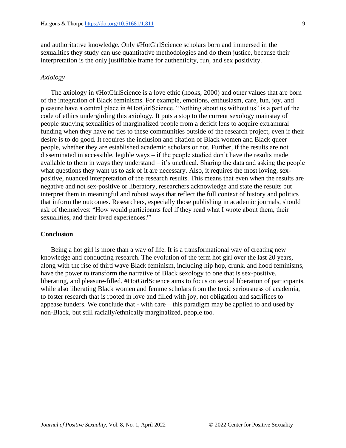and authoritative knowledge. Only #HotGirlScience scholars born and immersed in the sexualities they study can use quantitative methodologies and do them justice, because their interpretation is the only justifiable frame for authenticity, fun, and sex positivity.

#### *Axiology*

The axiology in #HotGirlScience is a love ethic (hooks, 2000) and other values that are born of the integration of Black feminisms. For example, emotions, enthusiasm, care, fun, joy, and pleasure have a central place in #HotGirlScience. "Nothing about us without us" is a part of the code of ethics undergirding this axiology. It puts a stop to the current sexology mainstay of people studying sexualities of marginalized people from a deficit lens to acquire extramural funding when they have no ties to these communities outside of the research project, even if their desire is to do good. It requires the inclusion and citation of Black women and Black queer people, whether they are established academic scholars or not. Further, if the results are not disseminated in accessible, legible ways – if the people studied don't have the results made available to them in ways they understand – it's unethical. Sharing the data and asking the people what questions they want us to ask of it are necessary. Also, it requires the most loving, sexpositive, nuanced interpretation of the research results. This means that even when the results are negative and not sex-positive or liberatory, researchers acknowledge and state the results but interpret them in meaningful and robust ways that reflect the full context of history and politics that inform the outcomes. Researchers, especially those publishing in academic journals, should ask of themselves: "How would participants feel if they read what I wrote about them, their sexualities, and their lived experiences?"

# **Conclusion**

Being a hot girl is more than a way of life. It is a transformational way of creating new knowledge and conducting research. The evolution of the term hot girl over the last 20 years, along with the rise of third wave Black feminism, including hip hop, crunk, and hood feminisms, have the power to transform the narrative of Black sexology to one that is sex-positive, liberating, and pleasure-filled. #HotGirlScience aims to focus on sexual liberation of participants, while also liberating Black women and femme scholars from the toxic seriousness of academia, to foster research that is rooted in love and filled with joy, not obligation and sacrifices to appease funders. We conclude that - with care – this paradigm may be applied to and used by non-Black, but still racially/ethnically marginalized, people too.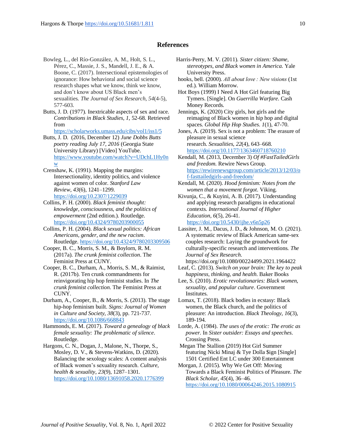#### **References**

- Bowleg, L., del Río-González, A. M., Holt, S. L., Pérez, C., Massie, J. S., Mandell, J. E., & A. Boone, C. (2017). Intersectional epistemologies of ignorance: How behavioral and social science research shapes what we know, think we know, and don't know about US Black men's sexualities. *The Journal of Sex Research*, *54*(4-5), 577-603.
- Butts, J. D. (1977). Inextricable aspects of sex and race. *Contributions in Black Studies, 1*, 52-68. Retrieved from

<https://scholarworks.umass.edu/cibs/vol1/iss1/5>

Butts, J. D. (2016, December 12) *June Dobbs Butts poetry reading July 17, 2016* (Georgia State University Library) [Video] YouTube. [https://www.youtube.com/watch?v=UDchL1Hy0n](https://www.youtube.com/watch?v=UDchL1Hy0nw) [w](https://www.youtube.com/watch?v=UDchL1Hy0nw)

Crenshaw, K. (1991). Mapping the margins: Intersectionality, identity politics, and violence against women of color. *Stanford Law Review*, *43*(6), 1241–1299. <https://doi.org/10.2307/1229039>

Collins, P. H. (2000). *Black feminist thought: knowledge, consciousness, and the politics of empowerment* (2nd edition.). Routledge. <https://doi.org/10.4324/9780203900055>

Collins, P. H. (2004). *Black sexual politics: African Americans, gender, and the new racism*. Routledge[. https://doi.org/10.4324/9780203309506](https://doi.org/10.4324/9780203309506)

Cooper, B. C., Morris, S. M., & Boylorn, R. M. (2017a). *The crunk feminist collection*. The Feminist Press at CUNY.

Cooper, B. C., Durham, A., Morris, S. M., & Raimist, R. (2017b). Ten crunk commandments for reinvigorating hip hop feminist studies. In *The crunk feminist collection*. The Feminist Press at CUNY.

Durham, A., Cooper, B., & Morris, S. (2013). The stage hip-hop feminism built. *Signs: Journal of Women in Culture and Society, 38*(3), pp. 721-737. <https://doi.org/10.1086/668843>

Hammonds, E. M. (2017). *Toward a genealogy of black female sexuality: The problematic of silence*. Routledge.

Hargons, C. N., Dogan, J., Malone, N., Thorpe, S., Mosley, D. V., & Stevens-Watkins, D. (2020). Balancing the sexology scales: A content analysis of Black women's sexuality research. *Culture, health & sexuality*, *23*(9), 1287–1301. <https://doi.org/10.1080/13691058.2020.1776399>

- Harris-Perry, M. V. (2011). *Sister citizen: Shame, stereotypes, and Black women in America*. Yale University Press.
- hooks, bell. (2000). *All about love : New visions* (1st ed.). William Morrow.

Hot Boys (1999) I Need A Hot Girl featuring Big Tymers. [Single]. On *Guerrilla Warfare.* Cash Money Records.

Jennings, K. (2020) City girls, hot girls and the reimaging of Black women in hip hop and digital spaces. *Global Hip Hop Studies. 1*(1), 47-70.

Jones, A. (2019). Sex is not a problem: The erasure of pleasure in sexual science research. *Sexualities*, *22*(4), 643–668. <https://doi.org/10.1177/1363460718760210>

Kendall, M. (2013, December 3) *Of #FastTailedGirls and freedom.* Rewire News Group. [https://rewirenewsgroup.com/article/2013/12/03/o](https://rewirenewsgroup.com/article/2013/12/03/of-fasttailedgirls-and-freedom/) [f-fasttailedgirls-and-freedom/](https://rewirenewsgroup.com/article/2013/12/03/of-fasttailedgirls-and-freedom/)

Kendall, M. (2020). *Hood feminism: Notes from the women that a movement forgot*. Viking.

Kivunja, C., & Kuyini, A. B. (2017). Understanding and applying research paradigms in educational contexts. *International Journal of Higher Education*, *6*(5), 26-41. <https://doi.org/10.5430/ijhe.v6n5p26>

Lassiter, J. M., Dacus, J. D., & Johnson, M. O. (2021). A systematic review of Black American same-sex couples research: Laying the groundwork for culturally-specific research and interventions. *The Journal of Sex Research*.

https://doi.org/10.1080/00224499.2021.1964422 Leaf, C. (2013). *Switch on your brain: The key to peak* 

*happiness, thinking, and health*. Baker Books

Lee, S. (2010). *Erotic revolutionaries: Black women, sexuality, and popular culture*. Government Institutes.

Lomax, T. (2018). Black bodies in ecstasy: Black women, the Black church, and the politics of pleasure: An introduction. *Black Theology*, *16*(3), 189-194.

Lorde, A. (1984). *The uses of the erotic: The erotic as power.* In *Sister outsider: Essays and speeches*. Crossing Press.

Megan The Stallion (2019) Hot Girl Summer featuring Nicki Minaj & Tye Dolla \$ign [Single] 1501 Certified Ent LC under 300 Entertainment

Morgan, J. (2015). Why We Get Off: Moving Towards a Black Feminist Politics of Pleasure. *The Black Scholar*, *45*(4), 36–46. <https://doi.org/10.1080/00064246.2015.1080915>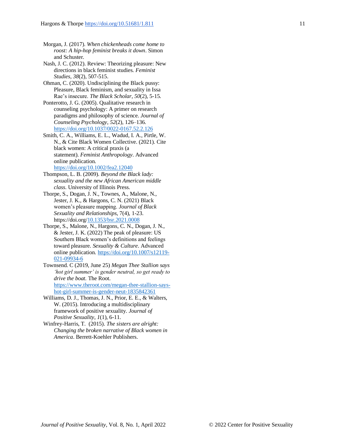Nash, J. C. (2012). Review: Theorizing pleasure: New directions in black feminist studies. *Feminist Studies, 38*(2), 507-515.

Ohman, C. (2020). Undisciplining the Black pussy: Pleasure, Black feminism, and sexuality in Issa Rae's insecure. *The Black Scholar*, *50*(2), 5-15.

Ponterotto, J. G. (2005). Qualitative research in counseling psychology: A primer on research paradigms and philosophy of science. *Journal of Counseling Psychology*, *52*(2), 126–136. <https://doi.org/10.1037/0022-0167.52.2.126>

Smith, C. A., Williams, E. L., Wadud, I. A., Pirtle, W. N., & Cite Black Women Collective. (2021). Cite black women: A critical praxis (a statement). *Feminist Anthropology*. Advanced online publication.

<https://doi.org/10.1002/fea2.12040>

- Thompson, L. B. (2009). *Beyond the Black lady: sexuality and the new African American middle class*. University of Illinois Press.
- Thorpe, S., Dogan, J. N., Townes, A., Malone, N., Jester, J. K., & Hargons, C. N. (2021) Black women's pleasure mapping. *Journal of Black Sexuality and Relationships*, 7(4), 1-23. https://doi.org[/10.1353/bsr.2021.0008](https://doi.org/10.1353/bsr.2021.0008)
- Thorpe, S., Malone, N., Hargons, C. N., Dogan, J. N., & Jester, J. K. (2022) The peak of pleasure: US Southern Black women's definitions and feelings toward pleasure. *Sexuality & Culture*. Advanced online publication. [https://doi.org/10.1007/s12119-](https://doi.org/10.1007/s12119-021-09934-6) [021-09934-6](https://doi.org/10.1007/s12119-021-09934-6)

Townsend. C (2019, June 25) *Megan Thee Stallion says 'hot girl summer' is gender neutral, so get ready to drive the boat.* The Root. [https://www.theroot.com/megan-thee-stallion-says](https://www.theroot.com/megan-thee-stallion-says-hot-girl-summer-is-gender-neut-1835842361)[hot-girl-summer-is-gender-neut-1835842361](https://www.theroot.com/megan-thee-stallion-says-hot-girl-summer-is-gender-neut-1835842361)

- Williams, D. J., Thomas, J. N., Prior, E. E., & Walters, W. (2015). Introducing a multidisciplinary framework of positive sexuality. *Journal of Positive Sexuality*, *1*(1), 6-11.
- Winfrey-Harris, T. (2015). *The sisters are alright: Changing the broken narrative of Black women in America*. Berrett-Koehler Publishers.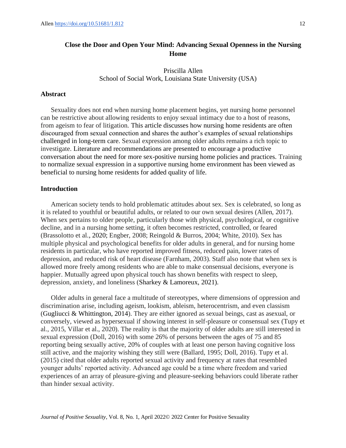# <span id="page-12-0"></span>**Close the Door and Open Your Mind: Advancing Sexual Openness in the Nursing Home**

Priscilla Allen School of Social Work, Louisiana State University (USA)

# **Abstract**

Sexuality does not end when nursing home placement begins, yet nursing home personnel can be restrictive about allowing residents to enjoy sexual intimacy due to a host of reasons, from ageism to fear of litigation. This article discusses how nursing home residents are often discouraged from sexual connection and shares the author's examples of sexual relationships challenged in long-term care. Sexual expression among older adults remains a rich topic to investigate. Literature and recommendations are presented to encourage a productive conversation about the need for more sex-positive nursing home policies and practices. Training to normalize sexual expression in a supportive nursing home environment has been viewed as beneficial to nursing home residents for added quality of life.

#### **Introduction**

American society tends to hold problematic attitudes about sex. Sex is celebrated, so long as it is related to youthful or beautiful adults, or related to our own sexual desires (Allen, 2017). When sex pertains to older people, particularly those with physical, psychological, or cognitive decline, and in a nursing home setting, it often becomes restricted, controlled, or feared (Brassolotto et al., 2020; Engber, 2008; Reingold & Burros, 2004; White, 2010). Sex has multiple physical and psychological benefits for older adults in general, and for nursing home residents in particular, who have reported improved fitness, reduced pain, lower rates of depression, and reduced risk of heart disease (Farnham, 2003). Staff also note that when sex is allowed more freely among residents who are able to make consensual decisions, everyone is happier. Mutually agreed upon physical touch has shown benefits with respect to sleep, depression, anxiety, and loneliness (Sharkey & Lamoreux, 2021).

Older adults in general face a multitude of stereotypes, where dimensions of oppression and discrimination arise, including ageism, lookism, ableism, heterocentrism, and even classism (Gugliucci & Whittington, 2014). They are either ignored as sexual beings, cast as asexual, or conversely, viewed as hypersexual if showing interest in self-pleasure or consensual sex (Tupy et al., 2015, Villar et al., 2020). The reality is that the majority of older adults are still interested in sexual expression (Doll, 2016) with some 26% of persons between the ages of 75 and 85 reporting being sexually active, 20% of couples with at least one person having cognitive loss still active, and the majority wishing they still were (Ballard, 1995; Doll, 2016). Tupy et al. (2015) cited that older adults reported sexual activity and frequency at rates that resembled younger adults' reported activity. Advanced age could be a time where freedom and varied experiences of an array of pleasure-giving and pleasure-seeking behaviors could liberate rather than hinder sexual activity.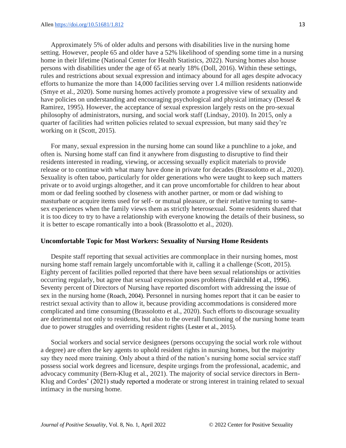Approximately 5% of older adults and persons with disabilities live in the nursing home setting. However, people 65 and older have a 52% likelihood of spending some time in a nursing home in their lifetime (National Center for Health Statistics, 2022). Nursing homes also house persons with disabilities under the age of 65 at nearly 18% (Doll, 2016). Within these settings, rules and restrictions about sexual expression and intimacy abound for all ages despite advocacy efforts to humanize the more than 14,000 facilities serving over 1.4 million residents nationwide (Smye et al., 2020). Some nursing homes actively promote a progressive view of sexuality and have policies on understanding and encouraging psychological and physical intimacy (Dessel & Ramirez, 1995). However, the acceptance of sexual expression largely rests on the pro-sexual philosophy of administrators, nursing, and social work staff (Lindsay, 2010). In 2015, only a quarter of facilities had written policies related to sexual expression, but many said they're working on it (Scott, 2015).

For many, sexual expression in the nursing home can sound like a punchline to a joke, and often is*.* Nursing home staff can find it anywhere from disgusting to disruptive to find their residents interested in reading, viewing, or accessing sexually explicit materials to provide release or to continue with what many have done in private for decades (Brassolotto et al., 2020). Sexuality is often taboo, particularly for older generations who were taught to keep such matters private or to avoid urgings altogether, and it can prove uncomfortable for children to hear about mom or dad feeling soothed by closeness with another partner, or mom or dad wishing to masturbate or acquire items used for self- or mutual pleasure, or their relative turning to samesex experiences when the family views them as strictly heterosexual. Some residents shared that it is too dicey to try to have a relationship with everyone knowing the details of their business, so it is better to escape romantically into a book (Brassolotto et al., 2020).

#### **Uncomfortable Topic for Most Workers: Sexuality of Nursing Home Residents**

Despite staff reporting that sexual activities are commonplace in their nursing homes, most nursing home staff remain largely uncomfortable with it, calling it a challenge (Scott, 2015). Eighty percent of facilities polled reported that there have been sexual relationships or activities occurring regularly, but agree that sexual expression poses problems (Fairchild et al., 1996). Seventy percent of Directors of Nursing have reported discomfort with addressing the issue of sex in the nursing home (Roach, 2004). Personnel in nursing homes report that it can be easier to restrict sexual activity than to allow it, because providing accommodations is considered more complicated and time consuming (Brassolotto et al., 2020). Such efforts to discourage sexuality are detrimental not only to residents, but also to the overall functioning of the nursing home team due to power struggles and overriding resident rights (Lester et al., 2015).

Social workers and social service designees (persons occupying the social work role without a degree) are often the key agents to uphold resident rights in nursing homes, but the majority say they need more training. Only about a third of the nation's nursing home social service staff possess social work degrees and licensure, despite urgings from the professional, academic, and advocacy community (Bern-Klug et al., 2021). The majority of social service directors in Bern-Klug and Cordes' (2021) study reported a moderate or strong interest in training related to sexual intimacy in the nursing home.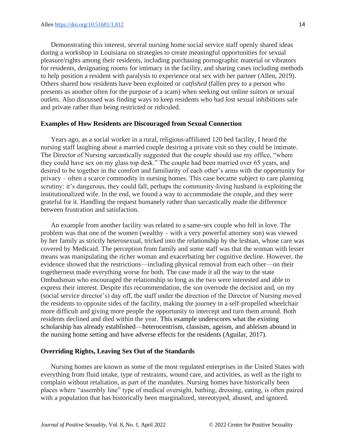Demonstrating this interest, several nursing home social service staff openly shared ideas during a workshop in Louisiana on strategies to create meaningful opportunities for sexual pleasure/rights among their residents, including purchasing pornographic material or vibrators for residents, designating rooms for intimacy in the facility, and sharing cases including methods to help position a resident with paralysis to experience oral sex with her partner (Allen, 2019). Others shared how residents have been exploited or *catfished* (fallen prey to a person who presents as another often for the purpose of a scam) when seeking out online suitors or sexual outlets. Also discussed was finding ways to keep residents who had lost sexual inhibitions safe and private rather than being restricted or ridiculed.

#### **Examples of How Residents are Discouraged from Sexual Connection**

Years ago, as a social worker in a rural, religious-affiliated 120 bed facility, I heard the nursing staff laughing about a married couple desiring a private visit so they could be intimate. The Director of Nursing sarcastically suggested that the couple should use my office, "where they could have sex on my glass top desk." The couple had been married over 65 years, and desired to be together in the comfort and familiarity of each other's arms with the opportunity for privacy – often a scarce commodity in nursing homes. This case became subject to care planning scrutiny: it's dangerous, they could fall, perhaps the community-living husband is exploiting the institutionalized wife. In the end, we found a way to accommodate the couple, and they were grateful for it. Handling the request humanely rather than sarcastically made the difference between frustration and satisfaction.

An example from another facility was related to a same-sex couple who fell in love. The problem was that one of the women (wealthy – with a very powerful attorney son) was viewed by her family as strictly heterosexual, tricked into the relationship by the lesbian, whose care was covered by Medicaid. The perception from family and some staff was that the woman with lesser means was manipulating the richer woman and exacerbating her cognitive decline. However, the evidence showed that the restrictions—including physical removal from each other—on their togetherness made everything worse for both. The case made it all the way to the state Ombudsman who encouraged the relationship so long as the two were interested and able to express their interest. Despite this recommendation, the son overrode the decision and, on my (social service director's) day off, the staff under the direction of the Director of Nursing moved the residents to opposite sides of the facility, making the journey in a self-propelled wheelchair more difficult and giving more people the opportunity to intercept and turn them around. Both residents declined and died within the year. This example underscores what the existing scholarship has already established—heterocentrism, classism, ageism, and ableism abound in the nursing home setting and have adverse effects for the residents (Aguilar, 2017).

# **Overriding Rights, Leaving Sex Out of the Standards**

Nursing homes are known as some of the most regulated enterprises in the United States with everything from fluid intake, type of restraints, wound care, and activities, as well as the right to complain without retaliation, as part of the mandates. Nursing homes have historically been places where "assembly line" type of medical oversight, bathing, dressing, eating, is often paired with a population that has historically been marginalized, stereotyped, abused, and ignored.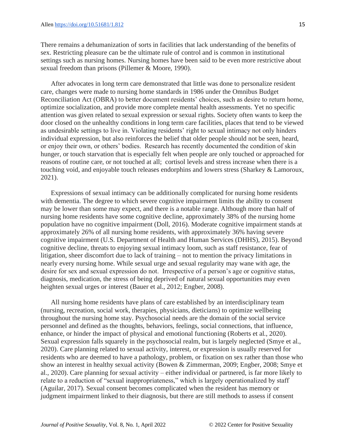There remains a dehumanization of sorts in facilities that lack understanding of the benefits of sex. Restricting pleasure can be the ultimate rule of control and is common in institutional settings such as nursing homes. Nursing homes have been said to be even more restrictive about sexual freedom than prisons (Pillemer & Moore, 1990).

After advocates in long term care demonstrated that little was done to personalize resident care, changes were made to nursing home standards in 1986 under the Omnibus Budget Reconciliation Act (OBRA) to better document residents' choices, such as desire to return home, optimize socialization, and provide more complete mental health assessments. Yet no specific attention was given related to sexual expression or sexual rights. Society often wants to keep the door closed on the unhealthy conditions in long term care facilities, places that tend to be viewed as undesirable settings to live in. Violating residents' right to sexual intimacy not only hinders individual expression, but also reinforces the belief that older people should not be seen, heard, or enjoy their own, or others' bodies. Research has recently documented the condition of skin hunger, or touch starvation that is especially felt when people are only touched or approached for reasons of routine care, or not touched at all; cortisol levels and stress increase when there is a touching void, and enjoyable touch releases endorphins and lowers stress (Sharkey & Lamoroux, 2021).

Expressions of sexual intimacy can be additionally complicated for nursing home residents with dementia. The degree to which severe cognitive impairment limits the ability to consent may be lower than some may expect, and there is a notable range. Although more than half of nursing home residents have some cognitive decline, approximately 38% of the nursing home population have no cognitive impairment (Doll, 2016). Moderate cognitive impairment stands at approximately 26% of all nursing home residents, with approximately 36% having severe cognitive impairment (U.S. Department of Health and Human Services (DHHS), 2015). Beyond cognitive decline, threats to enjoying sexual intimacy loom, such as staff resistance, fear of litigation, sheer discomfort due to lack of training – not to mention the privacy limitations in nearly every nursing home. While sexual urge and sexual regularity may wane with age, the desire for sex and sexual expression do not. Irrespective of a person's age or cognitive status, diagnosis, medication, the stress of being deprived of natural sexual opportunities may even heighten sexual urges or interest (Bauer et al., 2012; Engber, 2008).

All nursing home residents have plans of care established by an interdisciplinary team (nursing, recreation, social work, therapies, physicians, dieticians) to optimize wellbeing throughout the nursing home stay. Psychosocial needs are the domain of the social service personnel and defined as the thoughts, behaviors, feelings, social connections, that influence, enhance, or hinder the impact of physical and emotional functioning (Roberts et al., 2020). Sexual expression falls squarely in the psychosocial realm, but is largely neglected (Smye et al., 2020). Care planning related to sexual activity, interest, or expression is usually reserved for residents who are deemed to have a pathology, problem, or fixation on sex rather than those who show an interest in healthy sexual activity (Bowen & Zimmerman, 2009; Engber, 2008; Smye et al., 2020). Care planning for sexual activity – either individual or partnered, is far more likely to relate to a reduction of "sexual inappropriateness," which is largely operationalized by staff (Aguilar, 2017). Sexual consent becomes complicated when the resident has memory or judgment impairment linked to their diagnosis, but there are still methods to assess if consent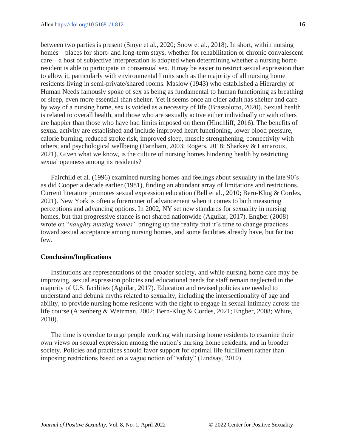between two parties is present (Smye et al., 2020; Snow et al., 2018). In short, within nursing homes—places for short- and long-term stays, whether for rehabilitation or chronic convalescent care—a host of subjective interpretation is adopted when determining whether a nursing home resident is able to participate in consensual sex. It may be easier to restrict sexual expression than to allow it, particularly with environmental limits such as the majority of all nursing home residents living in semi-private/shared rooms. Maslow (1943) who established a Hierarchy of Human Needs famously spoke of sex as being as fundamental to human functioning as breathing or sleep, even more essential than shelter. Yet it seems once an older adult has shelter and care by way of a nursing home, sex is voided as a necessity of life (Brassolotto, 2020). Sexual health is related to overall health, and those who are sexually active either individually or with others are happier than those who have had limits imposed on them (Hinchliff, 2016). The benefits of sexual activity are established and include improved heart functioning, lower blood pressure, calorie burning, reduced stroke risk, improved sleep, muscle strengthening, connectivity with others, and psychological wellbeing (Farnham, 2003; Rogers, 2018; Sharkey & Lamaroux, 2021). Given what we know, is the culture of nursing homes hindering health by restricting sexual openness among its residents?

Fairchild et al. (1996) examined nursing homes and feelings about sexuality in the late 90's as did Cooper a decade earlier (1981), finding an abundant array of limitations and restrictions. Current literature promotes sexual expression education (Bell et al., 2010; Bern-Klug & Cordes, 2021). New York is often a forerunner of advancement when it comes to both measuring perceptions and advancing options. In 2002, NY set new standards for sexuality in nursing homes, but that progressive stance is not shared nationwide (Aguilar, 2017). Engber (2008) wrote on "*naughty nursing homes"* bringing up the reality that it's time to change practices toward sexual acceptance among nursing homes, and some facilities already have, but far too few.

#### **Conclusion/Implications**

Institutions are representations of the broader society, and while nursing home care may be improving, sexual expression policies and educational needs for staff remain neglected in the majority of U.S. facilities (Aguilar, 2017). Education and revised policies are needed to understand and debunk myths related to sexuality, including the intersectionality of age and ability, to provide nursing home residents with the right to engage in sexual intimacy across the life course (Aizenberg & Weizman, 2002; Bern-Klug & Cordes, 2021; Engber, 2008; White, 2010).

The time is overdue to urge people working with nursing home residents to examine their own views on sexual expression among the nation's nursing home residents, and in broader society. Policies and practices should favor support for optimal life fulfillment rather than imposing restrictions based on a vague notion of "safety" (Lindsay, 2010).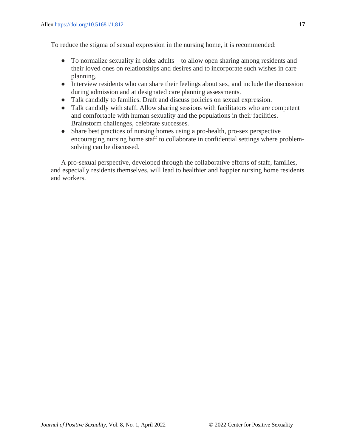To reduce the stigma of sexual expression in the nursing home, it is recommended:

- To normalize sexuality in older adults to allow open sharing among residents and their loved ones on relationships and desires and to incorporate such wishes in care planning.
- Interview residents who can share their feelings about sex, and include the discussion during admission and at designated care planning assessments.
- Talk candidly to families. Draft and discuss policies on sexual expression.
- Talk candidly with staff. Allow sharing sessions with facilitators who are competent and comfortable with human sexuality and the populations in their facilities. Brainstorm challenges, celebrate successes.
- Share best practices of nursing homes using a pro-health, pro-sex perspective encouraging nursing home staff to collaborate in confidential settings where problemsolving can be discussed.

A pro-sexual perspective, developed through the collaborative efforts of staff, families, and especially residents themselves, will lead to healthier and happier nursing home residents and workers.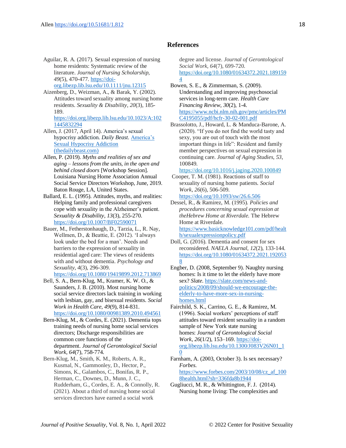#### **References**

- Aguilar, R. A. (2017). Sexual expression of nursing home residents: Systematic review of the literature. *Journal of Nursing Scholarship, 49*(5), 470-477. [https://doi](https://doi-org.libezp.lib.lsu.edu/10.1111/jnu.12315)[org.libezp.lib.lsu.edu/10.1111/jnu.12315](https://doi-org.libezp.lib.lsu.edu/10.1111/jnu.12315)
- Aizenberg, D., Weizman, A., & Barak, Y. (2002). Attitudes toward sexuality among nursing home residents. *Sexuality & Disability, 20*(3), 185- 189.

[https://doi.org.libezp.lib.lsu.edu/10.1023/A:102](https://doi.org.libezp.lib.lsu.edu/10.1023/A:1021445832294) [1445832294](https://doi.org.libezp.lib.lsu.edu/10.1023/A:1021445832294)

- Allen, J. (2017, April 14). America's sexual hypocrisy addiction. *Daily Beast.* [America's](https://www.thedailybeast.com/americas-sexual-hypocrisy-addiction)  [Sexual Hypocrisy Addiction](https://www.thedailybeast.com/americas-sexual-hypocrisy-addiction)  [\(thedailybeast.com\)](https://www.thedailybeast.com/americas-sexual-hypocrisy-addiction)
- Allen, P. (2019). *Myths and realities of sex and aging – lessons from the units, in the open and behind closed doors* [Workshop Session]. Louisiana Nursing Home Association Annual Social Service Directors Workshop, June, 2019. Baton Rouge, LA, United States.
- Ballard, E. L. (1995). Attitudes, myths, and realities: Helping family and professional caregivers cope with sexuality in the Alzheimer's patient. *Sexuality & Disability, 13*(3), 255-270. <https://doi.org/10.1007/BF02590071>
- Bauer, M., Fetherstonhaugh, D., Tarzia, L., R. Nay, Wellmen, D., & Beattie, E. (2012). 'I always look under the bed for a man'. Needs and barriers to the expression of sexuality in residential aged care: The views of residents with and without dementia. *Psychology and Sexuality*, *4*(3), 296-309. <https://doi.org/10.1080/19419899.2012.713869>
- Bell, S. A., Bern-Klug, M., Kramer, K. W. O., & Saunders, J. B. (2010). Most nursing home social service directors lack training in working with lesbian, gay, and bisexual residents. *Social Work in Health Care*, *49*(9), 814-831. <https://doi.org/10.1080/00981389.2010.494561>
- Bern-Klug, M., & Cordes, E. (2021). Dementia tops training needs of nursing home social services directors; Discharge responsibilities are common core functions of the department. *Journal of Gerontological Social Work, 64*(7), 758-774.
- Bern-Klug, M., Smith, K. M., Roberts, A. R., Kusmal, N., Gammonley, D., Hector, P., Simons, K., Galambos, C., Bonifas, R. P., Herman, C., Downes, D., Munn, J. C., Rudderham, G., Cordes, E. A., & Connolly, R. (2021). About a third of nursing home social services directors have earned a social work

degree and license. *Journal of Gerontological Social Work, 64*(7), 699-720. [https://doi.org/10.1080/01634372.2021.189159](https://doi.org/10.1080/01634372.2021.1891594) [4](https://doi.org/10.1080/01634372.2021.1891594)

- Bowen, S. E., & Zimmerman, S. (2009). Understanding and improving psychosocial services in long-term care. *Health Care Financing Review*, *30*(2), 1-4. [https://www.ncbi.nlm.nih.gov/pmc/articles/PM](https://www.ncbi.nlm.nih.gov/pmc/articles/PMC4195055/pdf/hcfr-30-02-001.pdf) [C4195055/pdf/hcfr-30-02-001.pdf](https://www.ncbi.nlm.nih.gov/pmc/articles/PMC4195055/pdf/hcfr-30-02-001.pdf)
- Brassolotto, J., Howard, L. & Manduca-Barone, A. (2020). "If you do not find the world tasty and sexy, you are out of touch with the most important things in life": Resident and family member perspectives on sexual expression in continuing care. *Journal of Aging Studies, 53*, 100849.

<https://doi.org/10.1016/j.jaging.2020.100849>

- Cooper, T. M. (1981). Reactions of staff to sexuality of nursing home patients. *Social Work*, *26*(6), 506-509. <https://doi.org/10.1093/sw/26.6.506>
- Dessel, R., & Ramirez, M. (1995). *Policies and procedures concerning sexual expression at theHebrew Home at Riverdale.* The Hebrew Home at Riverdale.

[https://www.basicknowledge101.com/pdf/healt](https://www.basicknowledge101.com/pdf/health/sexualexpressionpolicy.pdf) [h/sexualexpressionpolicy.pdf](https://www.basicknowledge101.com/pdf/health/sexualexpressionpolicy.pdf)

- Doll, G. (2016). Dementia and consent for sex reconsidered. *NAELA Journal*, *12*(2), 133-144. [https://doi.org/10.1080/01634372.2021.192053](https://doi.org/10.1080/01634372.2021.1920538) [8](https://doi.org/10.1080/01634372.2021.1920538)
- Engber, D. (2008, September 9). Naughty nursing homes: Is it time to let the elderly have more sex? *Slate*[. https://slate.com/news-and](https://slate.com/news-and-politics/2008/09/should-we-encourage-the-elderly-to-have-more-sex-in-nursing-homes.html)[politics/2008/09/should-we-encourage-the](https://slate.com/news-and-politics/2008/09/should-we-encourage-the-elderly-to-have-more-sex-in-nursing-homes.html)[elderly-to-have-more-sex-in-nursing](https://slate.com/news-and-politics/2008/09/should-we-encourage-the-elderly-to-have-more-sex-in-nursing-homes.html)[homes.html](https://slate.com/news-and-politics/2008/09/should-we-encourage-the-elderly-to-have-more-sex-in-nursing-homes.html)
- Fairchild, S. K., Carrino, G. E., & Ramirez, M. (1996). Social workers' perceptions of staff attitudes toward resident sexuality in a random sample of New York state nursing homes: *Journal of Gerontological Social Work*, *26*(1/2), 153–169[. https://doi](https://doi-org.libezp.lib.lsu.edu/10.1300/J083V26N01_10)[org.libezp.lib.lsu.edu/10.1300/J083V26N01\\_1](https://doi-org.libezp.lib.lsu.edu/10.1300/J083V26N01_10)  $\overline{0}$  $\overline{0}$  $\overline{0}$
- Farnham, A. (2003, October 3). Is sex necessary? *Forbes*. [https://www.forbes.com/2003/10/08/cz\\_af\\_100](https://www.forbes.com/2003/10/08/cz_af_1008health.html?sh=336fda8b1944)

[8health.html?sh=336fda8b1944](https://www.forbes.com/2003/10/08/cz_af_1008health.html?sh=336fda8b1944)

Gugliucci, M. R., & Whittington, F. J. (2014). Nursing home living: The complexities and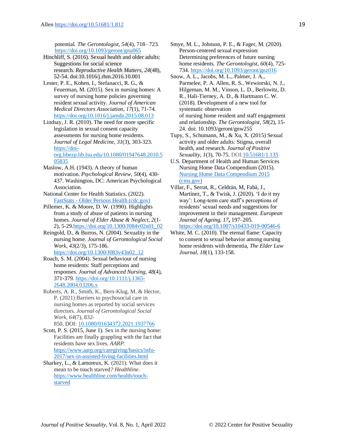potential*. The Gerontologist*, *54*(4), 718– 723. <https://doi.org/10.1093/geront/gnu065>

- Hinchliff, S. (2016). Sexual health and older adults: Suggestions for social science research. *Reproductive Health Matters*, *24*(48), 52-54. doi:10.1016/j.rhm.2016.10.001
- Lester, P. E., Kohen, I., Stefanacci, R. G., & Feuerman, M. (2015). Sex in nursing homes: A survey of nursing home policies governing resident sexual activity. *Journal of American Medical Directors Association*, *17*(1), 71-74. <https://doi.org/10.1016/j.jamda.2015.08.013>
- Lindsay, J. R. (2010). The need for more specific legislation in sexual consent capacity assessments for nursing home residents. *Journal of Legal Medicine*, *31*(3), 303-323. [https://doi](https://doi-org.libezp.lib.lsu.edu/10.1080/01947648.2010.505835)[org.libezp.lib.lsu.edu/10.1080/01947648.2010.5](https://doi-org.libezp.lib.lsu.edu/10.1080/01947648.2010.505835) [05835](https://doi-org.libezp.lib.lsu.edu/10.1080/01947648.2010.505835)
- Maslow, A.H. (1943). A theory of human motivation. *Psychological Review*, *50*(4), 430- 437. Washington, DC: American Psychological Association.
- National Center for Health Statistics. (2022). FastStats - [Older Persons Health \(cdc.gov\)](https://www.cdc.gov/nchs/fastats/older-american-health.htm)
- Pillemer, K. & Moore, D. W. (1990). Highlights from a study of abuse of patients in nursing homes. *Journal of Elder Abuse & Neglect, 2*(1- 2), 5-2[9.https://doi.org/10.1300/J084v02n01\\_02](https://doi.org/10.1300/J084v02n01_02)
- Reingold, D., & Burros, N. (2004). Sexuality in the nursing home. *Journal of Gerontological Social Work*, *43*(2/3), 175-186. [https://doi.org/10.1300/J083v43n02\\_12](https://doi.org/10.1300/J083v43n02_12)
- Roach, S. M. (2004). Sexual behaviour of nursing home residents: Staff perceptions and responses. *Journal of Advanced Nursing*, *48*(4), 371-379[. https://doi.org/10.1111/j.1365-](https://doi.org/10.1111/j.1365-2648.2004.03206.x) [2648.2004.03206.x](https://doi.org/10.1111/j.1365-2648.2004.03206.x)
- Roberts, A. R., Smith, K., Bern-Klug, M. & Hector, P. (2021) Barriers to psychosocial care in nursing homes as reported by social services directors. *Journal of Gerontological Social Work, 64*(7), 832- 850, DOI: [10.1080/01634372.2021.1937766](https://doi.org/10.1080/01634372.2021.1937766)
- Scott, P. S. (2015, June 1). Sex in the nursing home: Facilities are finally grappling with the fact that residents have sex lives. *AARP.* [https://www.aarp.org/caregiving/basics/info-](https://www.aarp.org/caregiving/basics/info-2017/sex-in-assisted-living-facilities.html)[2017/sex-in-assisted-living-facilities.html](https://www.aarp.org/caregiving/basics/info-2017/sex-in-assisted-living-facilities.html)
- Sharkey, L., & Lamoreux, K. (2021). What does it mean to be touch starved*? Healthline*. [https://www.healthline.com/health/touch](https://www.healthline.com/health/touch-starved)[starved](https://www.healthline.com/health/touch-starved)
- Smye, M. L., Johnson, P. E., & Fager, M. (2020). Person-centered sexual expression: Determining preferences of future nursing home residents. *The Gerontologist, 60*(4), 725- 734[. https://doi.org/10.1093/geront/gnz016](https://doi.org/10.1093/geront/gnz016)
- Snow, A. L., Jacobs, M. L., Palmer, J. A., Parmelee, P. A. Allen, R. S., Wewiorski, N. J., Hilgeman, M. M., Vinson, L. D., Berlowitz, D. R., Hali-Tierney, A. D., & Hartmann C. W. (2018). Development of a new tool for systematic observation of nursing home resident and staff engagement and relationship. *The Gerontologist*, *58*(2), 15- 24. doi: 10.1093/geront/gnw255
- Tupy, S., Schumann, M., & Xu, X. (2015) Sexual activity and older adults: Stigma, overall health, and research. *Journal of Positive Sexuality*, *1*(3), 70-75. DO[I:10.51681/1.135](http://dx.doi.org/10.51681/1.135)
- U.S. Department of Health and Human Services Nursing Home Data Compendium (2015). [Nursing Home Data Compendium 2015](https://www.cms.gov/Medicare/Provider-Enrollment-and-Certification/CertificationandComplianc/Downloads/nursinghomedatacompendium_508-2015.pdf)  [\(cms.gov\)](https://www.cms.gov/Medicare/Provider-Enrollment-and-Certification/CertificationandComplianc/Downloads/nursinghomedatacompendium_508-2015.pdf)
- Villar, F., Serrat, R., Celdrán, M, Fabà, J., Martínez, T., & Twisk, J. (2020)*.* 'I do it my way': Long-term care staff's perceptions of residents' sexual needs and suggestions for improvement in their management. *European Journal of Ageing, 17***,** 197–205. <https://doi.org/10.1007/s10433-019-00546-6>
- White, M. C. (2010). The eternal flame: Capacity to consent to sexual behavior among nursing home residents with dementia, *The Elder Law Journal*, *18*(1), 133-158.